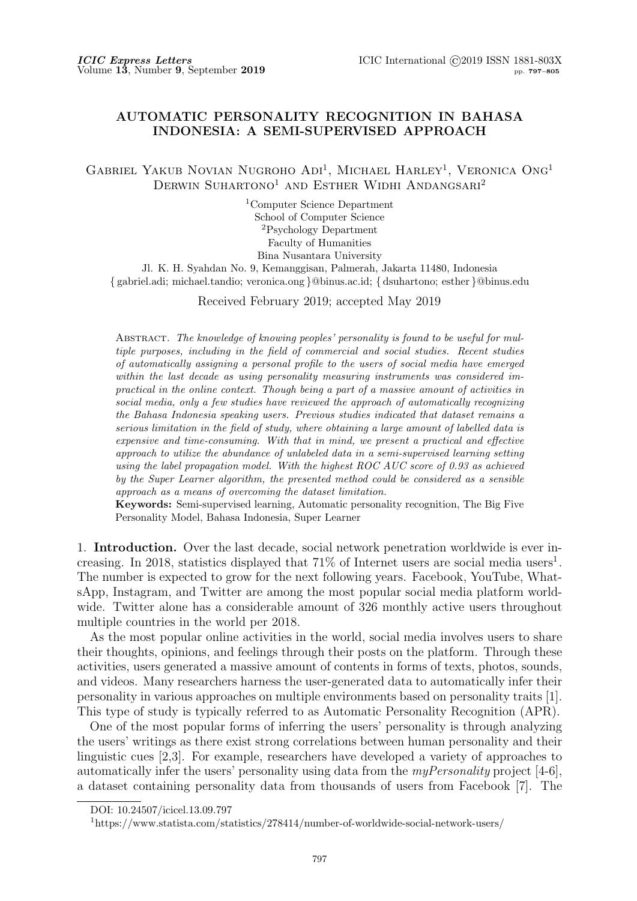# **AUTOMATIC PERSONALITY RECOGNITION IN BAHASA INDONESIA: A SEMI-SUPERVISED APPROACH**

GABRIEL YAKUB NOVIAN NUGROHO ADI<sup>1</sup>, MICHAEL HARLEY<sup>1</sup>, VERONICA ONG<sup>1</sup> DERWIN SUHARTONO<sup>1</sup> AND ESTHER WIDHI ANDANGSARI<sup>2</sup>

> <sup>1</sup>Computer Science Department School of Computer Science <sup>2</sup>Psychology Department Faculty of Humanities Bina Nusantara University

Jl. K. H. Syahdan No. 9, Kemanggisan, Palmerah, Jakarta 11480, Indonesia *{* gabriel.adi; michael.tandio; veronica.ong *}*@binus.ac.id; *{* dsuhartono; esther *}*@binus.edu

Received February 2019; accepted May 2019

Abstract. *The knowledge of knowing peoples' personality is found to be useful for multiple purposes, including in the field of commercial and social studies. Recent studies of automatically assigning a personal profile to the users of social media have emerged within the last decade as using personality measuring instruments was considered impractical in the online context. Though being a part of a massive amount of activities in social media, only a few studies have reviewed the approach of automatically recognizing the Bahasa Indonesia speaking users. Previous studies indicated that dataset remains a serious limitation in the field of study, where obtaining a large amount of labelled data is expensive and time-consuming. With that in mind, we present a practical and effective approach to utilize the abundance of unlabeled data in a semi-supervised learning setting using the label propagation model. With the highest ROC AUC score of 0.93 as achieved by the Super Learner algorithm, the presented method could be considered as a sensible approach as a means of overcoming the dataset limitation.*

**Keywords:** Semi-supervised learning, Automatic personality recognition, The Big Five Personality Model, Bahasa Indonesia, Super Learner

1. **Introduction.** Over the last decade, social network penetration worldwide is ever increasing. In 2018, statistics displayed that  $71\%$  of Internet users are social media users<sup>1</sup>. The number is expected to grow for the next following years. Facebook, YouTube, WhatsApp, Instagram, and Twitter are among the most popular social media platform worldwide. Twitter alone has a considerable amount of 326 monthly active users throughout multiple countries in the world per 2018.

As the most popular online activities in the world, social media involves users to share their thoughts, opinions, and feelings through their posts on the platform. Through these activities, users generated a massive amount of contents in forms of texts, photos, sounds, and videos. Many researchers harness the user-generated data to automatically infer their personality in various approaches on multiple environments based on personality traits [1]. This type of study is typically referred to as Automatic Personality Recognition (APR).

One of the most popular forms of inferring the users' personality is through analyzing the users' writings as there exist strong correlations between human personality and their linguistic cues [2,3]. For example, researchers have developed a variety of approaches to automatically infer the users' personality using data from the *myPersonality* project [4-6], a dataset containing personality data from thousands of users from Facebook [7]. The

DOI: 10.24507/icicel.13.09.797

<sup>1</sup>https://www.statista.com/statistics/278414/number-of-worldwide-social-network-users/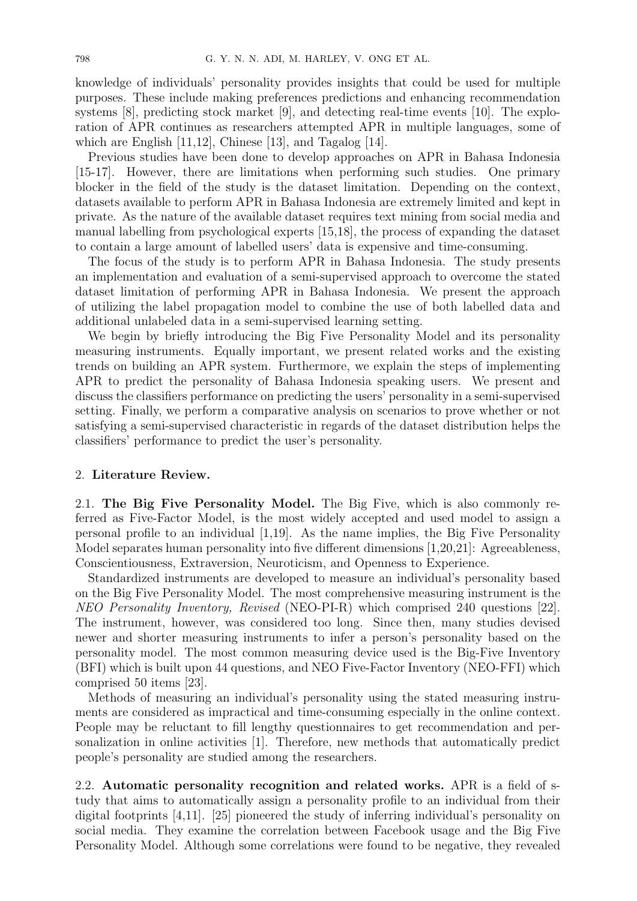knowledge of individuals' personality provides insights that could be used for multiple purposes. These include making preferences predictions and enhancing recommendation systems [8], predicting stock market [9], and detecting real-time events [10]. The exploration of APR continues as researchers attempted APR in multiple languages, some of which are English  $[11,12]$ , Chinese  $[13]$ , and Tagalog  $[14]$ .

Previous studies have been done to develop approaches on APR in Bahasa Indonesia [15-17]. However, there are limitations when performing such studies. One primary blocker in the field of the study is the dataset limitation. Depending on the context, datasets available to perform APR in Bahasa Indonesia are extremely limited and kept in private. As the nature of the available dataset requires text mining from social media and manual labelling from psychological experts [15,18], the process of expanding the dataset to contain a large amount of labelled users' data is expensive and time-consuming.

The focus of the study is to perform APR in Bahasa Indonesia. The study presents an implementation and evaluation of a semi-supervised approach to overcome the stated dataset limitation of performing APR in Bahasa Indonesia. We present the approach of utilizing the label propagation model to combine the use of both labelled data and additional unlabeled data in a semi-supervised learning setting.

We begin by briefly introducing the Big Five Personality Model and its personality measuring instruments. Equally important, we present related works and the existing trends on building an APR system. Furthermore, we explain the steps of implementing APR to predict the personality of Bahasa Indonesia speaking users. We present and discuss the classifiers performance on predicting the users' personality in a semi-supervised setting. Finally, we perform a comparative analysis on scenarios to prove whether or not satisfying a semi-supervised characteristic in regards of the dataset distribution helps the classifiers' performance to predict the user's personality.

### 2. **Literature Review.**

2.1. **The Big Five Personality Model.** The Big Five, which is also commonly referred as Five-Factor Model, is the most widely accepted and used model to assign a personal profile to an individual [1,19]. As the name implies, the Big Five Personality Model separates human personality into five different dimensions [1,20,21]: Agreeableness, Conscientiousness, Extraversion, Neuroticism, and Openness to Experience.

Standardized instruments are developed to measure an individual's personality based on the Big Five Personality Model. The most comprehensive measuring instrument is the *NEO Personality Inventory, Revised* (NEO-PI-R) which comprised 240 questions [22]. The instrument, however, was considered too long. Since then, many studies devised newer and shorter measuring instruments to infer a person's personality based on the personality model. The most common measuring device used is the Big-Five Inventory (BFI) which is built upon 44 questions, and NEO Five-Factor Inventory (NEO-FFI) which comprised 50 items [23].

Methods of measuring an individual's personality using the stated measuring instruments are considered as impractical and time-consuming especially in the online context. People may be reluctant to fill lengthy questionnaires to get recommendation and personalization in online activities [1]. Therefore, new methods that automatically predict people's personality are studied among the researchers.

2.2. **Automatic personality recognition and related works.** APR is a field of study that aims to automatically assign a personality profile to an individual from their digital footprints [4,11]. [25] pioneered the study of inferring individual's personality on social media. They examine the correlation between Facebook usage and the Big Five Personality Model. Although some correlations were found to be negative, they revealed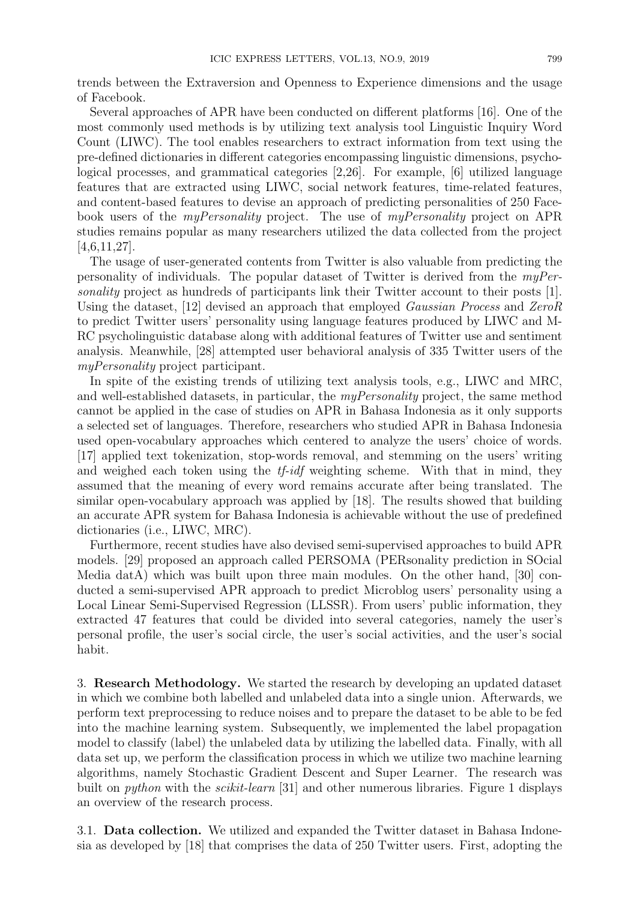trends between the Extraversion and Openness to Experience dimensions and the usage of Facebook.

Several approaches of APR have been conducted on different platforms [16]. One of the most commonly used methods is by utilizing text analysis tool Linguistic Inquiry Word Count (LIWC). The tool enables researchers to extract information from text using the pre-defined dictionaries in different categories encompassing linguistic dimensions, psychological processes, and grammatical categories [2,26]. For example, [6] utilized language features that are extracted using LIWC, social network features, time-related features, and content-based features to devise an approach of predicting personalities of 250 Facebook users of the *myPersonality* project. The use of *myPersonality* project on APR studies remains popular as many researchers utilized the data collected from the project  $[4,6,11,27]$ .

The usage of user-generated contents from Twitter is also valuable from predicting the personality of individuals. The popular dataset of Twitter is derived from the *myPersonality* project as hundreds of participants link their Twitter account to their posts [1]. Using the dataset, [12] devised an approach that employed *Gaussian Process* and *ZeroR* to predict Twitter users' personality using language features produced by LIWC and M-RC psycholinguistic database along with additional features of Twitter use and sentiment analysis. Meanwhile, [28] attempted user behavioral analysis of 335 Twitter users of the *myPersonality* project participant.

In spite of the existing trends of utilizing text analysis tools, e.g., LIWC and MRC, and well-established datasets, in particular, the *myPersonality* project, the same method cannot be applied in the case of studies on APR in Bahasa Indonesia as it only supports a selected set of languages. Therefore, researchers who studied APR in Bahasa Indonesia used open-vocabulary approaches which centered to analyze the users' choice of words. [17] applied text tokenization, stop-words removal, and stemming on the users' writing and weighed each token using the *tf-idf* weighting scheme. With that in mind, they assumed that the meaning of every word remains accurate after being translated. The similar open-vocabulary approach was applied by [18]. The results showed that building an accurate APR system for Bahasa Indonesia is achievable without the use of predefined dictionaries (i.e., LIWC, MRC).

Furthermore, recent studies have also devised semi-supervised approaches to build APR models. [29] proposed an approach called PERSOMA (PERsonality prediction in SOcial Media datA) which was built upon three main modules. On the other hand, [30] conducted a semi-supervised APR approach to predict Microblog users' personality using a Local Linear Semi-Supervised Regression (LLSSR). From users' public information, they extracted 47 features that could be divided into several categories, namely the user's personal profile, the user's social circle, the user's social activities, and the user's social habit.

3. **Research Methodology.** We started the research by developing an updated dataset in which we combine both labelled and unlabeled data into a single union. Afterwards, we perform text preprocessing to reduce noises and to prepare the dataset to be able to be fed into the machine learning system. Subsequently, we implemented the label propagation model to classify (label) the unlabeled data by utilizing the labelled data. Finally, with all data set up, we perform the classification process in which we utilize two machine learning algorithms, namely Stochastic Gradient Descent and Super Learner. The research was built on *python* with the *scikit-learn* [31] and other numerous libraries. Figure 1 displays an overview of the research process.

3.1. **Data collection.** We utilized and expanded the Twitter dataset in Bahasa Indonesia as developed by [18] that comprises the data of 250 Twitter users. First, adopting the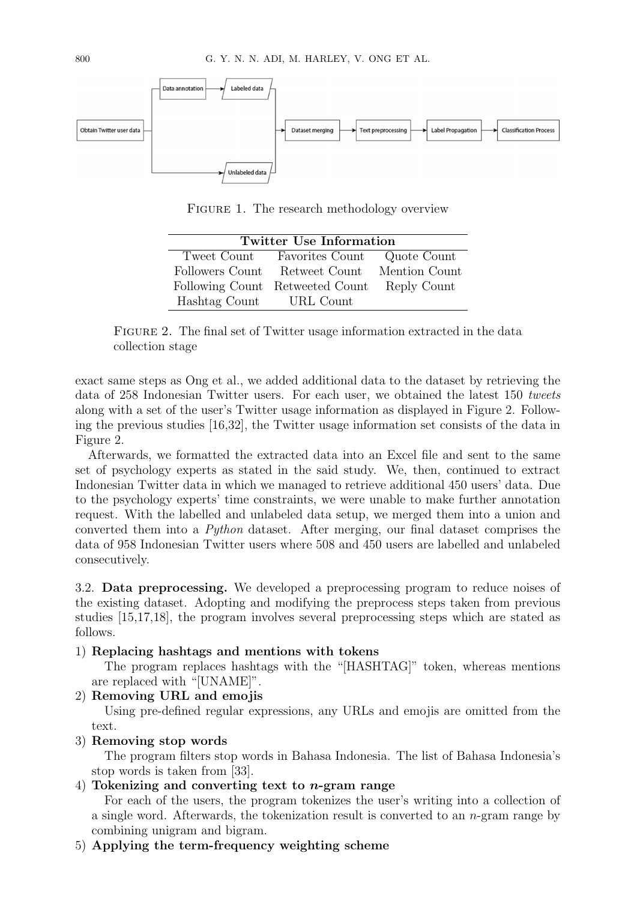

FIGURE 1. The research methodology overview

| <b>Twitter Use Information</b> |                                             |  |  |  |  |  |  |
|--------------------------------|---------------------------------------------|--|--|--|--|--|--|
|                                | Tweet Count Favorities Count Quote Count    |  |  |  |  |  |  |
|                                | Followers Count Retweet Count Mention Count |  |  |  |  |  |  |
|                                | Following Count Retweeted Count Reply Count |  |  |  |  |  |  |
| Hashtag Count URL Count        |                                             |  |  |  |  |  |  |

FIGURE 2. The final set of Twitter usage information extracted in the data collection stage

exact same steps as Ong et al., we added additional data to the dataset by retrieving the data of 258 Indonesian Twitter users. For each user, we obtained the latest 150 *tweets* along with a set of the user's Twitter usage information as displayed in Figure 2. Following the previous studies [16,32], the Twitter usage information set consists of the data in Figure 2.

Afterwards, we formatted the extracted data into an Excel file and sent to the same set of psychology experts as stated in the said study. We, then, continued to extract Indonesian Twitter data in which we managed to retrieve additional 450 users' data. Due to the psychology experts' time constraints, we were unable to make further annotation request. With the labelled and unlabeled data setup, we merged them into a union and converted them into a *Python* dataset. After merging, our final dataset comprises the data of 958 Indonesian Twitter users where 508 and 450 users are labelled and unlabeled consecutively.

3.2. **Data preprocessing.** We developed a preprocessing program to reduce noises of the existing dataset. Adopting and modifying the preprocess steps taken from previous studies [15,17,18], the program involves several preprocessing steps which are stated as follows.

### 1) **Replacing hashtags and mentions with tokens**

The program replaces hashtags with the "[HASHTAG]" token, whereas mentions are replaced with "[UNAME]".

2) **Removing URL and emojis**

Using pre-defined regular expressions, any URLs and emojis are omitted from the text.

3) **Removing stop words**

The program filters stop words in Bahasa Indonesia. The list of Bahasa Indonesia's stop words is taken from [33].

## 4) **Tokenizing and converting text to** *n***-gram range**

For each of the users, the program tokenizes the user's writing into a collection of a single word. Afterwards, the tokenization result is converted to an *n*-gram range by combining unigram and bigram.

5) **Applying the term-frequency weighting scheme**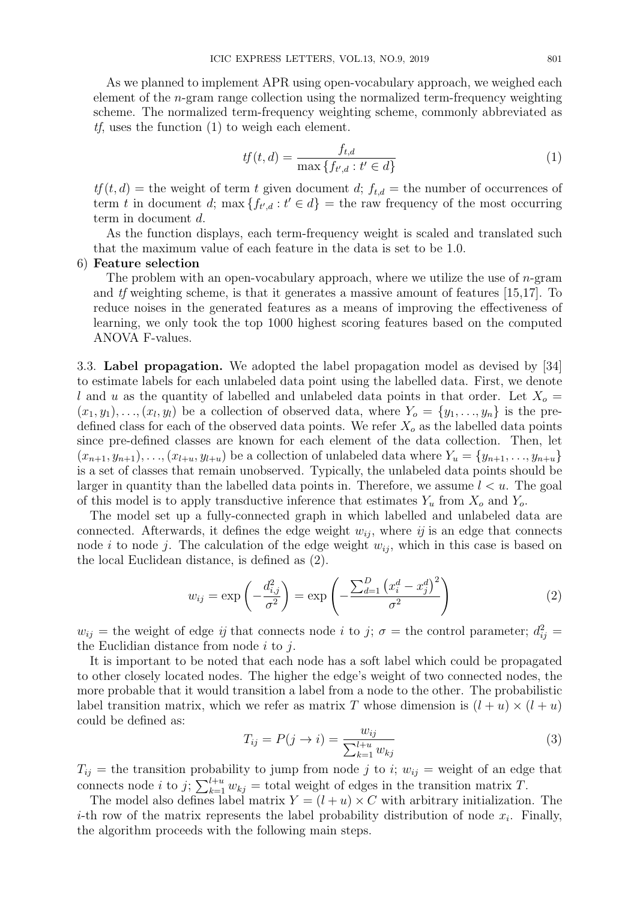As we planned to implement APR using open-vocabulary approach, we weighed each element of the *n*-gram range collection using the normalized term-frequency weighting scheme. The normalized term-frequency weighting scheme, commonly abbreviated as *tf*, uses the function (1) to weigh each element.

$$
tf(t,d) = \frac{f_{t,d}}{\max\{f_{t',d} : t' \in d\}}\tag{1}
$$

 $tf(t, d)$  = the weight of term *t* given document *d*;  $f_{t,d}$  = the number of occurrences of term *t* in document *d*; max  ${f_{t',d} : t' \in d}$  = the raw frequency of the most occurring term in document *d*.

As the function displays, each term-frequency weight is scaled and translated such that the maximum value of each feature in the data is set to be 1.0.

#### 6) **Feature selection**

The problem with an open-vocabulary approach, where we utilize the use of *n*-gram and *tf* weighting scheme, is that it generates a massive amount of features [15,17]. To reduce noises in the generated features as a means of improving the effectiveness of learning, we only took the top 1000 highest scoring features based on the computed ANOVA F-values.

3.3. **Label propagation.** We adopted the label propagation model as devised by [34] to estimate labels for each unlabeled data point using the labelled data. First, we denote *l* and *u* as the quantity of labelled and unlabeled data points in that order. Let  $X_o$  =  $(x_1, y_1), \ldots, (x_l, y_l)$  be a collection of observed data, where  $Y_o = \{y_1, \ldots, y_n\}$  is the predefined class for each of the observed data points. We refer  $X<sub>o</sub>$  as the labelled data points since pre-defined classes are known for each element of the data collection. Then, let  $(x_{n+1}, y_{n+1}), \ldots, (x_{l+u}, y_{l+u})$  be a collection of unlabeled data where  $Y_u = \{y_{n+1}, \ldots, y_{n+u}\}\$ is a set of classes that remain unobserved. Typically, the unlabeled data points should be larger in quantity than the labelled data points in. Therefore, we assume *l < u*. The goal of this model is to apply transductive inference that estimates *Y<sup>u</sup>* from *X<sup>o</sup>* and *Yo*.

The model set up a fully-connected graph in which labelled and unlabeled data are connected. Afterwards, it defines the edge weight  $w_{ij}$ , where  $ij$  is an edge that connects node *i* to node *j*. The calculation of the edge weight  $w_{ij}$ , which in this case is based on the local Euclidean distance, is defined as (2).

$$
w_{ij} = \exp\left(-\frac{d_{i,j}^2}{\sigma^2}\right) = \exp\left(-\frac{\sum_{d=1}^D \left(x_i^d - x_j^d\right)^2}{\sigma^2}\right) \tag{2}
$$

 $w_{ij}$  = the weight of edge *ij* that connects node *i* to *j*;  $\sigma$  = the control parameter;  $d_{ij}^2$  = the Euclidian distance from node *i* to *j*.

It is important to be noted that each node has a soft label which could be propagated to other closely located nodes. The higher the edge's weight of two connected nodes, the more probable that it would transition a label from a node to the other. The probabilistic label transition matrix, which we refer as matrix *T* whose dimension is  $(l + u) \times (l + u)$ could be defined as:

$$
T_{ij} = P(j \to i) = \frac{w_{ij}}{\sum_{k=1}^{l+u} w_{kj}}
$$
(3)

 $T_{ij}$  = the transition probability to jump from node *j* to *i*;  $w_{ij}$  = weight of an edge that connects node *i* to *j*;  $\sum_{k=1}^{l+u} w_{kj}$  = total weight of edges in the transition matrix *T*.

The model also defines label matrix  $Y = (l + u) \times C$  with arbitrary initialization. The *i*-th row of the matrix represents the label probability distribution of node  $x_i$ . Finally, the algorithm proceeds with the following main steps.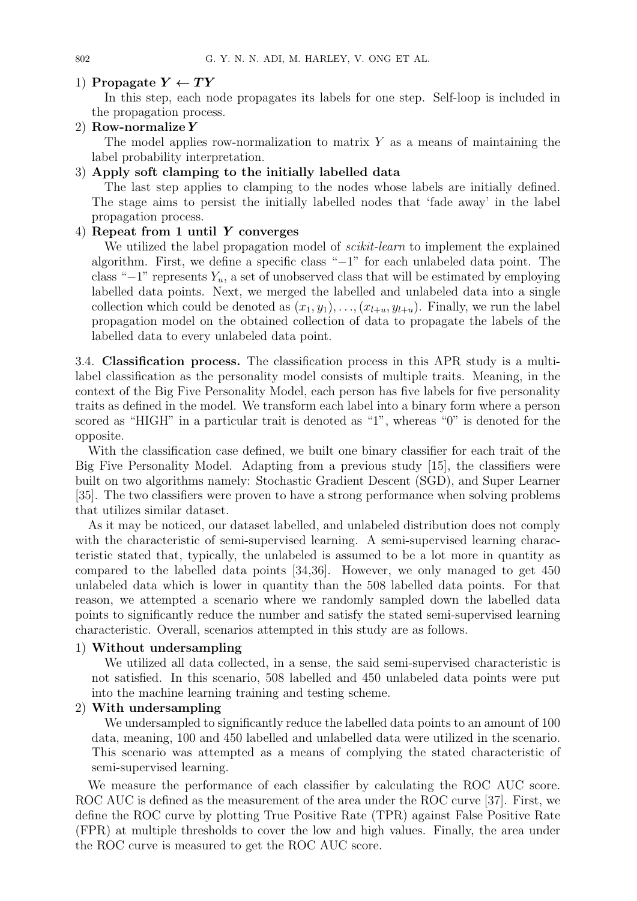## 1) **Propagate**  $Y \leftarrow TY$

In this step, each node propagates its labels for one step. Self-loop is included in the propagation process.

## 2) **Row-normalize***Y*

The model applies row-normalization to matrix *Y* as a means of maintaining the label probability interpretation.

## 3) **Apply soft clamping to the initially labelled data**

The last step applies to clamping to the nodes whose labels are initially defined. The stage aims to persist the initially labelled nodes that 'fade away' in the label propagation process.

### 4) **Repeat from 1 until** *Y* **converges**

We utilized the label propagation model of *scikit-learn* to implement the explained algorithm. First, we define a specific class "*−*1" for each unlabeled data point. The class "*−*1" represents *Yu*, a set of unobserved class that will be estimated by employing labelled data points. Next, we merged the labelled and unlabeled data into a single collection which could be denoted as  $(x_1, y_1), \ldots, (x_{l+u}, y_{l+u})$ . Finally, we run the label propagation model on the obtained collection of data to propagate the labels of the labelled data to every unlabeled data point.

3.4. **Classification process.** The classification process in this APR study is a multilabel classification as the personality model consists of multiple traits. Meaning, in the context of the Big Five Personality Model, each person has five labels for five personality traits as defined in the model. We transform each label into a binary form where a person scored as "HIGH" in a particular trait is denoted as "1", whereas "0" is denoted for the opposite.

With the classification case defined, we built one binary classifier for each trait of the Big Five Personality Model. Adapting from a previous study [15], the classifiers were built on two algorithms namely: Stochastic Gradient Descent (SGD), and Super Learner [35]. The two classifiers were proven to have a strong performance when solving problems that utilizes similar dataset.

As it may be noticed, our dataset labelled, and unlabeled distribution does not comply with the characteristic of semi-supervised learning. A semi-supervised learning characteristic stated that, typically, the unlabeled is assumed to be a lot more in quantity as compared to the labelled data points [34,36]. However, we only managed to get 450 unlabeled data which is lower in quantity than the 508 labelled data points. For that reason, we attempted a scenario where we randomly sampled down the labelled data points to significantly reduce the number and satisfy the stated semi-supervised learning characteristic. Overall, scenarios attempted in this study are as follows.

### 1) **Without undersampling**

We utilized all data collected, in a sense, the said semi-supervised characteristic is not satisfied. In this scenario, 508 labelled and 450 unlabeled data points were put into the machine learning training and testing scheme.

### 2) **With undersampling**

We undersampled to significantly reduce the labelled data points to an amount of 100 data, meaning, 100 and 450 labelled and unlabelled data were utilized in the scenario. This scenario was attempted as a means of complying the stated characteristic of semi-supervised learning.

We measure the performance of each classifier by calculating the ROC AUC score. ROC AUC is defined as the measurement of the area under the ROC curve [37]. First, we define the ROC curve by plotting True Positive Rate (TPR) against False Positive Rate (FPR) at multiple thresholds to cover the low and high values. Finally, the area under the ROC curve is measured to get the ROC AUC score.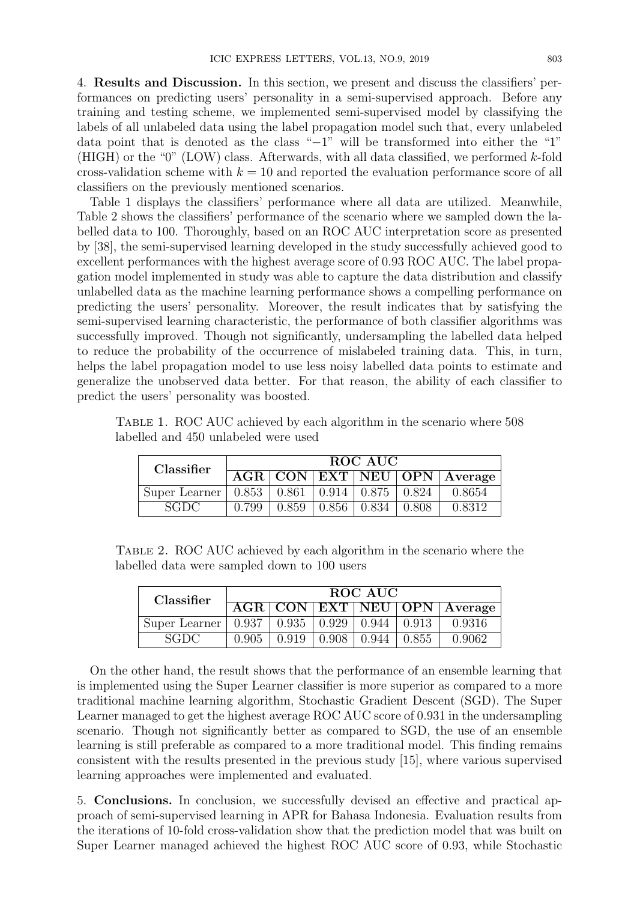4. **Results and Discussion.** In this section, we present and discuss the classifiers' performances on predicting users' personality in a semi-supervised approach. Before any training and testing scheme, we implemented semi-supervised model by classifying the labels of all unlabeled data using the label propagation model such that, every unlabeled data point that is denoted as the class "*−*1" will be transformed into either the "1" (HIGH) or the "0" (LOW) class. Afterwards, with all data classified, we performed *k*-fold cross-validation scheme with  $k = 10$  and reported the evaluation performance score of all classifiers on the previously mentioned scenarios.

Table 1 displays the classifiers' performance where all data are utilized. Meanwhile, Table 2 shows the classifiers' performance of the scenario where we sampled down the labelled data to 100. Thoroughly, based on an ROC AUC interpretation score as presented by [38], the semi-supervised learning developed in the study successfully achieved good to excellent performances with the highest average score of 0.93 ROC AUC. The label propagation model implemented in study was able to capture the data distribution and classify unlabelled data as the machine learning performance shows a compelling performance on predicting the users' personality. Moreover, the result indicates that by satisfying the semi-supervised learning characteristic, the performance of both classifier algorithms was successfully improved. Though not significantly, undersampling the labelled data helped to reduce the probability of the occurrence of mislabeled training data. This, in turn, helps the label propagation model to use less noisy labelled data points to estimate and generalize the unobserved data better. For that reason, the ability of each classifier to predict the users' personality was boosted.

|  |                                      | TABLE 1. ROC AUC achieved by each algorithm in the scenario where 508 |  |  |
|--|--------------------------------------|-----------------------------------------------------------------------|--|--|
|  | labelled and 450 unlabeled were used |                                                                       |  |  |

| Classifier                                                      | ROC AUC |  |  |                                       |  |                                                                     |
|-----------------------------------------------------------------|---------|--|--|---------------------------------------|--|---------------------------------------------------------------------|
|                                                                 |         |  |  |                                       |  | $\overline{\text{AGR} \top \text{CON}}$   EXT   NEU   OPN   Average |
| Super Learner   $0.853$   $0.861$   $0.914$   $0.875$   $0.824$ |         |  |  |                                       |  | 0.8654                                                              |
| SGDC.                                                           | 0.799   |  |  | $0.859 \pm 0.856 \pm 0.834 \pm 0.808$ |  | 0.8312                                                              |

Table 2. ROC AUC achieved by each algorithm in the scenario where the labelled data were sampled down to 100 users

| Classifier    | ROC AUC |       |       |                             |       |                                    |
|---------------|---------|-------|-------|-----------------------------|-------|------------------------------------|
|               |         |       |       |                             |       | <b>AGR CON EXT NEU OPN Average</b> |
| Super Learner | 0.937   | 0.935 |       | $0.929 \pm 0.944 \pm 0.913$ |       | 0.9316                             |
| <b>SGDC</b>   | 0.905   | 0.919 | 0.908 | 0.944                       | 0.855 | 0.9062                             |

On the other hand, the result shows that the performance of an ensemble learning that is implemented using the Super Learner classifier is more superior as compared to a more traditional machine learning algorithm, Stochastic Gradient Descent (SGD). The Super Learner managed to get the highest average ROC AUC score of 0.931 in the undersampling scenario. Though not significantly better as compared to SGD, the use of an ensemble learning is still preferable as compared to a more traditional model. This finding remains consistent with the results presented in the previous study [15], where various supervised learning approaches were implemented and evaluated.

5. **Conclusions.** In conclusion, we successfully devised an effective and practical approach of semi-supervised learning in APR for Bahasa Indonesia. Evaluation results from the iterations of 10-fold cross-validation show that the prediction model that was built on Super Learner managed achieved the highest ROC AUC score of 0.93, while Stochastic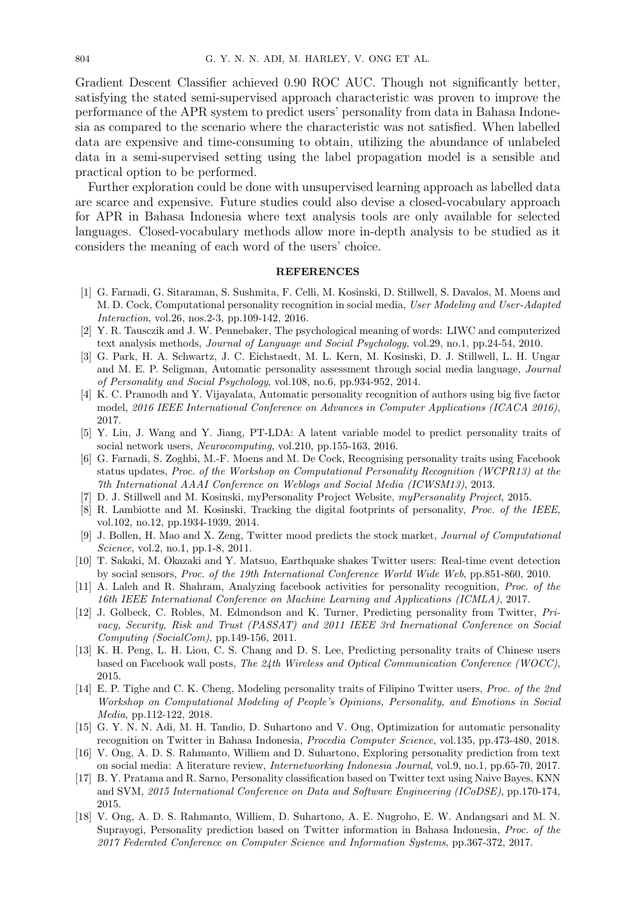Gradient Descent Classifier achieved 0.90 ROC AUC. Though not significantly better, satisfying the stated semi-supervised approach characteristic was proven to improve the performance of the APR system to predict users' personality from data in Bahasa Indonesia as compared to the scenario where the characteristic was not satisfied. When labelled data are expensive and time-consuming to obtain, utilizing the abundance of unlabeled data in a semi-supervised setting using the label propagation model is a sensible and practical option to be performed.

Further exploration could be done with unsupervised learning approach as labelled data are scarce and expensive. Future studies could also devise a closed-vocabulary approach for APR in Bahasa Indonesia where text analysis tools are only available for selected languages. Closed-vocabulary methods allow more in-depth analysis to be studied as it considers the meaning of each word of the users' choice.

#### **REFERENCES**

- [1] G. Farnadi, G. Sitaraman, S. Sushmita, F. Celli, M. Kosinski, D. Stillwell, S. Davalos, M. Moens and M. D. Cock, Computational personality recognition in social media, *User Modeling and User-Adapted Interaction*, vol.26, nos.2-3, pp.109-142, 2016.
- [2] Y. R. Tausczik and J. W. Pennebaker, The psychological meaning of words: LIWC and computerized text analysis methods, *Journal of Language and Social Psychology*, vol.29, no.1, pp.24-54, 2010.
- [3] G. Park, H. A. Schwartz, J. C. Eichstaedt, M. L. Kern, M. Kosinski, D. J. Stillwell, L. H. Ungar and M. E. P. Seligman, Automatic personality assessment through social media language, *Journal of Personality and Social Psychology*, vol.108, no.6, pp.934-952, 2014.
- [4] K. C. Pramodh and Y. Vijayalata, Automatic personality recognition of authors using big five factor model, *2016 IEEE International Conference on Advances in Computer Applications (ICACA 2016)*, 2017.
- [5] Y. Liu, J. Wang and Y. Jiang, PT-LDA: A latent variable model to predict personality traits of social network users, *Neurocomputing*, vol.210, pp.155-163, 2016.
- [6] G. Farnadi, S. Zoghbi, M.-F. Moens and M. De Cock, Recognising personality traits using Facebook status updates, *Proc. of the Workshop on Computational Personality Recognition (WCPR13) at the 7th International AAAI Conference on Weblogs and Social Media (ICWSM13)*, 2013.
- [7] D. J. Stillwell and M. Kosinski, myPersonality Project Website, *myPersonality Project*, 2015.
- [8] R. Lambiotte and M. Kosinski, Tracking the digital footprints of personality, *Proc. of the IEEE*, vol.102, no.12, pp.1934-1939, 2014.
- [9] J. Bollen, H. Mao and X. Zeng, Twitter mood predicts the stock market, *Journal of Computational Science*, vol.2, no.1, pp.1-8, 2011.
- [10] T. Sakaki, M. Okazaki and Y. Matsuo, Earthquake shakes Twitter users: Real-time event detection by social sensors, *Proc. of the 19th International Conference World Wide Web*, pp.851-860, 2010.
- [11] A. Laleh and R. Shahram, Analyzing facebook activities for personality recognition, *Proc. of the 16th IEEE International Conference on Machine Learning and Applications (ICMLA)*, 2017.
- [12] J. Golbeck, C. Robles, M. Edmondson and K. Turner, Predicting personality from Twitter, *Privacy, Security, Risk and Trust (PASSAT) and 2011 IEEE 3rd Inernational Conference on Social Computing (SocialCom)*, pp.149-156, 2011.
- [13] K. H. Peng, L. H. Liou, C. S. Chang and D. S. Lee, Predicting personality traits of Chinese users based on Facebook wall posts, *The 24th Wireless and Optical Communication Conference (WOCC)*, 2015.
- [14] E. P. Tighe and C. K. Cheng, Modeling personality traits of Filipino Twitter users, *Proc. of the 2nd Workshop on Computational Modeling of People's Opinions, Personality, and Emotions in Social Media*, pp.112-122, 2018.
- [15] G. Y. N. N. Adi, M. H. Tandio, D. Suhartono and V. Ong, Optimization for automatic personality recognition on Twitter in Bahasa Indonesia, *Procedia Computer Science*, vol.135, pp.473-480, 2018.
- [16] V. Ong, A. D. S. Rahmanto, Williem and D. Suhartono, Exploring personality prediction from text on social media: A literature review, *Internetworking Indonesia Journal*, vol.9, no.1, pp.65-70, 2017.
- [17] B. Y. Pratama and R. Sarno, Personality classification based on Twitter text using Naive Bayes, KNN and SVM, *2015 International Conference on Data and Software Engineering (ICoDSE)*, pp.170-174, 2015.
- [18] V. Ong, A. D. S. Rahmanto, Williem, D. Suhartono, A. E. Nugroho, E. W. Andangsari and M. N. Suprayogi, Personality prediction based on Twitter information in Bahasa Indonesia, *Proc. of the 2017 Federated Conference on Computer Science and Information Systems*, pp.367-372, 2017.